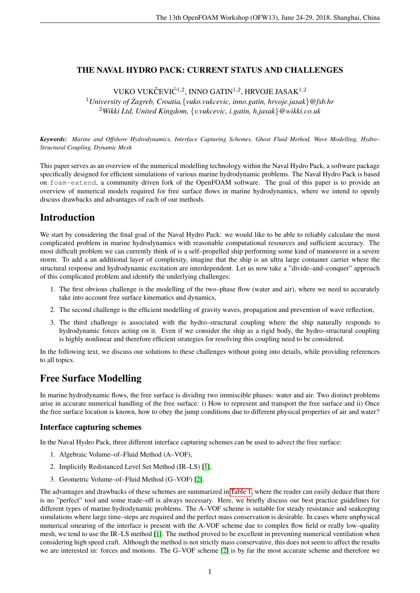## THE NAVAL HYDRO PACK: CURRENT STATUS AND CHALLENGES

VUKO VUKČEVIĆ<sup>1,2</sup>, INNO GATIN<sup>1,2</sup>, HRVOJE JASAK<sup>1,2</sup>

<sup>1</sup>*University of Zagreb, Croatia,*{*vuko.vukcevic, inno.gatin, hrvoje.jasak*}*@fsb.hr* <sup>2</sup>*Wikki Ltd, United Kingdom,* {*v.vukcevic, i.gatin, h.jasak*}*@wikki.co.uk*

*Keywords: Marine and Offshore Hydrodynamics, Interface Capturing Schemes, Ghost Fluid Method, Wave Modelling, Hydro– Structural Coupling, Dynamic Mesh*

This paper serves as an overview of the numerical modelling technology within the Naval Hydro Pack, a software package specifically designed for efficient simulations of various marine hydrodynamic problems. The Naval Hydro Pack is based on foam-extend, a community driven fork of the OpenFOAM software. The goal of this paper is to provide an overview of numerical models required for free surface flows in marine hydrodynamics, where we intend to openly discuss drawbacks and advantages of each of our methods.

# Introduction

We start by considering the final goal of the Naval Hydro Pack: we would like to be able to reliably calculate the most complicated problem in marine hydrodynamics with reasonable computational resources and sufficient accuracy. The most difficult problem we can currently think of is a self–propelled ship performing some kind of manoeuvre in a severe storm. To add a an additional layer of complexity, imagine that the ship is an ultra large container carrier where the structural response and hydrodynamic excitation are interdependent. Let us now take a "divide–and–conquer" approach of this complicated problem and identify the underlying challenges:

- 1. The first obvious challenge is the modelling of the two–phase flow (water and air), where we need to accurately take into account free surface kinematics and dynamics,
- 2. The second challenge is the efficient modelling of gravity waves, propagation and prevention of wave reflection,
- 3. The third challenge is associated with the hydro–structural coupling where the ship naturally responds to hydrodynamic forces acting on it. Even if we consider the ship as a rigid body, the hydro–structural coupling is highly nonlinear and therefore efficient strategies for resolving this coupling need to be considered.

In the following text, we discuss our solutions to these challenges without going into details, while providing references to all topics.

# Free Surface Modelling

In marine hydrodynamic flows, the free surface is dividing two immiscible phases: water and air. Two distinct problems arise in accurate numerical handling of the free surface: i) How to represent and transport the free surface and ii) Once the free surface location is known, how to obey the jump conditions due to different physical properties of air and water?

## Interface capturing schemes

In the Naval Hydro Pack, three different interface capturing schemes can be used to advect the free surface:

- 1. Algebraic Volume–of–Fluid Method (A–VOF),
- 2. Implicitly Redistanced Level Set Method (IR–LS) [\[1\]](#page-3-0),
- 3. Geometric Volume–of–Fluid Method (G–VOF) [\[2\]](#page-3-1).

The advantages and drawbacks of these schemes are summarized in [Table 1,](#page-1-0) where the reader can easily deduce that there is no "perfect" tool and some trade–off is always necessary. Here, we briefly discuss our best practice guidelines for different types of marine hydrodynamic problems. The A–VOF scheme is suitable for steady resistance and seakeeping simulations where large time–steps are required and the perfect mass conservation is desirable. In cases where unphysical numerical smearing of the interface is present with the A-VOF scheme due to complex flow field or really low–quality mesh, we tend to use the IR–LS method [\[1\]](#page-3-0). The method proved to be excellent in preventing numerical ventilation when considering high speed craft. Although the method is not strictly mass conservative, this does not seem to affect the results we are interested in: forces and motions. The G–VOF scheme [\[2\]](#page-3-1) is by far the most accurate scheme and therefore we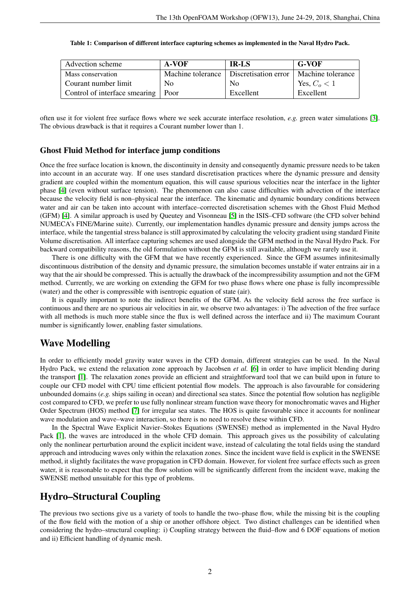<span id="page-1-0"></span>

| Advection scheme                     | A-VOF          | <b>IR-LS</b>                             | G-VOF             |
|--------------------------------------|----------------|------------------------------------------|-------------------|
| Mass conservation                    |                | Machine tolerance   Discretisation error | Machine tolerance |
| Courant number limit                 | N <sub>0</sub> | N <sub>0</sub>                           | Yes, $Co < 1$     |
| Control of interface smearing   Poor |                | Excellent                                | Excellent         |

| Table 1: Comparison of different interface capturing schemes as implemented in the Naval Hydro Pack. |  |
|------------------------------------------------------------------------------------------------------|--|
|                                                                                                      |  |

often use it for violent free surface flows where we seek accurate interface resolution, *e.g.* green water simulations [\[3\]](#page-3-2). The obvious drawback is that it requires a Courant number lower than 1.

#### Ghost Fluid Method for interface jump conditions

Once the free surface location is known, the discontinuity in density and consequently dynamic pressure needs to be taken into account in an accurate way. If one uses standard discretisation practices where the dynamic pressure and density gradient are coupled within the momentum equation, this will cause spurious velocities near the interface in the lighter phase [\[4\]](#page-3-3) (even without surface tension). The phenomenon can also cause difficulties with advection of the interface because the velocity field is non–physical near the interface. The kinematic and dynamic boundary conditions between water and air can be taken into account with interface–corrected discretisation schemes with the Ghost Fluid Method (GFM) [\[4\]](#page-3-3). A similar approach is used by Queutey and Visonneau [\[5\]](#page-3-4) in the ISIS–CFD software (the CFD solver behind NUMECA's FINE/Marine suite). Currently, our implementation handles dynamic pressure and density jumps across the interface, while the tangential stress balance is still approximated by calculating the velocity gradient using standard Finite Volume discretisation. All interface capturing schemes are used alongside the GFM method in the Naval Hydro Pack. For backward compatibility reasons, the old formulation without the GFM is still available, although we rarely use it.

There is one difficulty with the GFM that we have recently experienced. Since the GFM assumes infinitesimally discontinuous distribution of the density and dynamic pressure, the simulation becomes unstable if water entrains air in a way that the air should be compressed. This is actually the drawback of the incompressibility assumption and not the GFM method. Currently, we are working on extending the GFM for two phase flows where one phase is fully incompressible (water) and the other is compressible with isentropic equation of state (air).

It is equally important to note the indirect benefits of the GFM. As the velocity field across the free surface is continuous and there are no spurious air velocities in air, we observe two advantages: i) The advection of the free surface with all methods is much more stable since the flux is well defined across the interface and ii) The maximum Courant number is significantly lower, enabling faster simulations.

## Wave Modelling

In order to efficiently model gravity water waves in the CFD domain, different strategies can be used. In the Naval Hydro Pack, we extend the relaxation zone approach by Jacobsen *et al.* [\[6\]](#page-3-5) in order to have implicit blending during the transport [\[1\]](#page-3-0). The relaxation zones provide an efficient and straightforward tool that we can build upon in future to couple our CFD model with CPU time efficient potential flow models. The approach is also favourable for considering unbounded domains (*e.g.* ships sailing in ocean) and directional sea states. Since the potential flow solution has negligible cost compared to CFD, we prefer to use fully nonlinear stream function wave theory for monochromatic waves and Higher Order Spectrum (HOS) method [\[7\]](#page-3-6) for irregular sea states. The HOS is quite favourable since it accounts for nonlinear wave modulation and wave–wave interaction, so there is no need to resolve these within CFD.

In the Spectral Wave Explicit Navier–Stokes Equations (SWENSE) method as implemented in the Naval Hydro Pack [\[1\]](#page-3-0), the waves are introduced in the whole CFD domain. This approach gives us the possibility of calculating only the nonlinear perturbation around the explicit incident wave, instead of calculating the total fields using the standard approach and introducing waves only within the relaxation zones. Since the incident wave field is explicit in the SWENSE method, it slightly facilitates the wave propagation in CFD domain. However, for violent free surface effects such as green water, it is reasonable to expect that the flow solution will be significantly different from the incident wave, making the SWENSE method unsuitable for this type of problems.

## Hydro–Structural Coupling

The previous two sections give us a variety of tools to handle the two–phase flow, while the missing bit is the coupling of the flow field with the motion of a ship or another offshore object. Two distinct challenges can be identified when considering the hydro–structural coupling: i) Coupling strategy between the fluid–flow and 6 DOF equations of motion and ii) Efficient handling of dynamic mesh.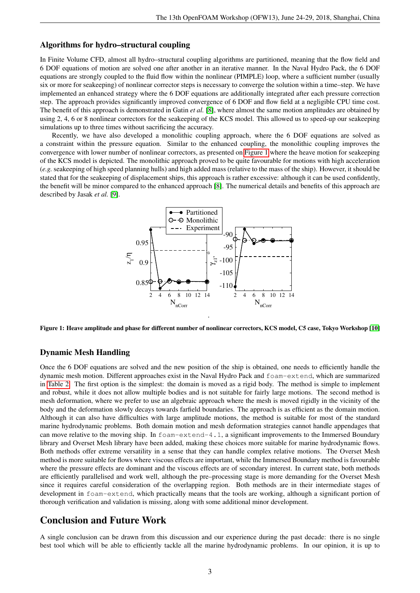### Algorithms for hydro–structural coupling

In Finite Volume CFD, almost all hydro–structural coupling algorithms are partitioned, meaning that the flow field and 6 DOF equations of motion are solved one after another in an iterative manner. In the Naval Hydro Pack, the 6 DOF equations are strongly coupled to the fluid flow within the nonlinear (PIMPLE) loop, where a sufficient number (usually six or more for seakeeping) of nonlinear corrector steps is necessary to converge the solution within a time–step. We have implemented an enhanced strategy where the 6 DOF equations are additionally integrated after each pressure correction step. The approach provides significantly improved convergence of 6 DOF and flow field at a negligible CPU time cost. The benefit of this approach is demonstrated in Gatin *et al.* [\[8\]](#page-3-7), where almost the same motion amplitudes are obtained by using 2, 4, 6 or 8 nonlinear correctors for the seakeeping of the KCS model. This allowed us to speed-up our seakeeping simulations up to three times without sacrificing the accuracy.

<span id="page-2-0"></span>Recently, we have also developed a monolithic coupling approach, where the 6 DOF equations are solved as a constraint within the pressure equation. Similar to the enhanced coupling, the monolithic coupling improves the convergence with lower number of nonlinear correctors, as presented on [Figure 1](#page-2-0) where the heave motion for seakeeping of the KCS model is depicted. The monolithic approach proved to be quite favourable for motions with high acceleration (*e.g.* seakeeping of high speed planning hulls) and high added mass (relative to the mass of the ship). However, it should be stated that for the seakeeping of displacement ships, this approach is rather excessive: although it can be used confidently, the benefit will be minor compared to the enhanced approach [\[8\]](#page-3-7). The numerical details and benefits of this approach are described by Jasak *et al.* [\[9\]](#page-3-8).



Figure 1: Heave amplitude and phase for different number of nonlinear correctors, KCS model, C5 case, Tokyo Workshop [\[10\]](#page-3-9)

### Dynamic Mesh Handling

Once the 6 DOF equations are solved and the new position of the ship is obtained, one needs to efficiently handle the dynamic mesh motion. Different approaches exist in the Naval Hydro Pack and foam-extend, which are summarized in [Table 2.](#page-3-10) The first option is the simplest: the domain is moved as a rigid body. The method is simple to implement and robust, while it does not allow multiple bodies and is not suitable for fairly large motions. The second method is mesh deformation, where we prefer to use an algebraic approach where the mesh is moved rigidly in the vicinity of the body and the deformation slowly decays towards farfield boundaries. The approach is as efficient as the domain motion. Although it can also have difficulties with large amplitude motions, the method is suitable for most of the standard marine hydrodynamic problems. Both domain motion and mesh deformation strategies cannot handle appendages that can move relative to the moving ship. In foam-extend-4.1, a significant improvements to the Immersed Boundary library and Overset Mesh library have been added, making these choices more suitable for marine hydrodynamic flows. Both methods offer extreme versatility in a sense that they can handle complex relative motions. The Overset Mesh method is more suitable for flows where viscous effects are important, while the Immersed Boundary method is favourable where the pressure effects are dominant and the viscous effects are of secondary interest. In current state, both methods are efficiently parallelised and work well, although the pre–processing stage is more demanding for the Overset Mesh since it requires careful consideration of the overlapping region. Both methods are in their intermediate stages of development in foam-extend, which practically means that the tools are working, although a significant portion of thorough verification and validation is missing, along with some additional minor development.

## Conclusion and Future Work

A single conclusion can be drawn from this discussion and our experience during the past decade: there is no single best tool which will be able to efficiently tackle all the marine hydrodynamic problems. In our opinion, it is up to